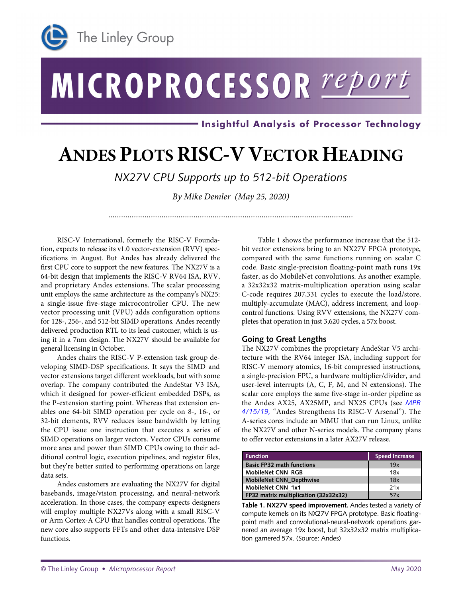

# MICROPROCESSOR report

- Insightful Analysis of Processor Technology

# **ANDES PLOTS RISC-V VECTOR HEADING**

*NX27V CPU Supports up to 512-bit Operations*

*By Mike Demler (May 25, 2020)* 

*...................................................................................................................*

RISC-V International, formerly the RISC-V Foundation, expects to release its v1.0 vector-extension (RVV) specifications in August. But Andes has already delivered the first CPU core to support the new features. The NX27V is a 64-bit design that implements the RISC-V RV64 ISA, RVV, and proprietary Andes extensions. The scalar processing unit employs the same architecture as the company's NX25: a single-issue five-stage microcontroller CPU. The new vector processing unit (VPU) adds configuration options for 128-, 256-, and 512-bit SIMD operations. Andes recently delivered production RTL to its lead customer, which is using it in a 7nm design. The NX27V should be available for general licensing in October.

Andes chairs the RISC-V P-extension task group developing SIMD-DSP specifications. It says the SIMD and vector extensions target different workloads, but with some overlap. The company contributed the AndeStar V3 ISA, which it designed for power-efficient embedded DSPs, as the P-extension starting point. Whereas that extension enables one 64-bit SIMD operation per cycle on 8-, 16-, or 32-bit elements, RVV reduces issue bandwidth by letting the CPU issue one instruction that executes a series of SIMD operations on larger vectors. Vector CPUs consume more area and power than SIMD CPUs owing to their additional control logic, execution pipelines, and register files, but they're better suited to performing operations on large data sets.

Andes customers are evaluating the NX27V for digital basebands, image/vision processing, and neural-network acceleration. In those cases, the company expects designers will employ multiple NX27Vs along with a small RISC-V or Arm Cortex-A CPU that handles control operations. The new core also supports FFTs and other data-intensive DSP functions.

Ī

Table 1 shows the performance increase that the 512 bit vector extensions bring to an NX27V FPGA prototype, compared with the same functions running on scalar C code. Basic single-precision floating-point math runs 19x faster, as do MobileNet convolutions. As another example, a 32x32x32 matrix-multiplication operation using scalar C-code requires 207,331 cycles to execute the load/store, multiply-accumulate (MAC), address increment, and loopcontrol functions. Using RVV extensions, the NX27V completes that operation in just 3,620 cycles, a 57x boost.

# **Going to Great Lengths**

The NX27V combines the proprietary AndeStar V5 architecture with the RV64 integer ISA, including support for RISC-V memory atomics, 16-bit compressed instructions, a single-precision FPU, a hardware multiplier/divider, and user-level interrupts (A, C, F, M, and N extensions). The scalar core employs the same five-stage in-order pipeline as the Andes AX25, AX25MP, and NX25 CPUs (see *[MPR](https://www.linleygroup.com/mpr/article.php?id=12127)  [4/15/19,](https://www.linleygroup.com/mpr/article.php?id=12127)* "Andes Strengthens Its RISC-V Arsenal"). The A-series cores include an MMU that can run Linux, unlike the NX27V and other N-series models. The company plans to offer vector extensions in a later AX27V release.

| <b>Function</b>                       | <b>Speed Increase</b> |
|---------------------------------------|-----------------------|
| <b>Basic FP32 math functions</b>      | 19x                   |
| MobileNet CNN RGB                     | 18x                   |
| MobileNet CNN_Depthwise               | 18x                   |
| MobileNet CNN 1x1                     | 21x                   |
| FP32 matrix multiplication (32x32x32) | 57x                   |

**Table 1. NX27V speed improvement.** Andes tested a variety of compute kernels on its NX27V FPGA prototype. Basic floatingpoint math and convolutional-neural-network operations garnered an average 19x boost, but 32x32x32 matrix multiplication garnered 57x. (Source: Andes)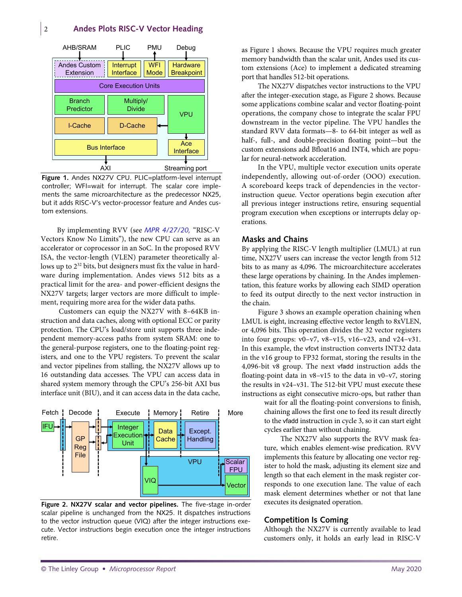# 2 **Andes Plots RISC-V Vector Heading**



**Figure 1.** Andes NX27V CPU. PLIC=platform-level interrupt controller; WFI=wait for interrupt. The scalar core implements the same microarchitecture as the predecessor NX25, but it adds RISC-V's vector-processor feature and Andes custom extensions.

By implementing RVV (see *[MPR 4/27/20,](https://www.linleygroup.com/mpr/article.php?id=12293)* "RISC-V Vectors Know No Limits"), the new CPU can serve as an accelerator or coprocessor in an SoC. In the proposed RVV ISA, the vector-length (VLEN) parameter theoretically allows up to  $2^{32}$  bits, but designers must fix the value in hardware during implementation. Andes views 512 bits as a practical limit for the area- and power-efficient designs the NX27V targets; larger vectors are more difficult to implement, requiring more area for the wider data paths.

Customers can equip the NX27V with 8–64KB instruction and data caches, along with optional ECC or parity protection. The CPU's load/store unit supports three independent memory-access paths from system SRAM: one to the general-purpose registers, one to the floating-point registers, and one to the VPU registers. To prevent the scalar and vector pipelines from stalling, the NX27V allows up to 16 outstanding data accesses. The VPU can access data in shared system memory through the CPU's 256-bit AXI bus interface unit (BIU), and it can access data in the data cache,



**Figure 2. NX27V scalar and vector pipelines.** The five-stage in-order scalar pipeline is unchanged from the NX25. It dispatches instructions to the vector instruction queue (VIQ) after the integer instructions execute. Vector instructions begin execution once the integer instructions retire.

as Figure 1 shows. Because the VPU requires much greater memory bandwidth than the scalar unit, Andes used its custom extensions (Ace) to implement a dedicated streaming port that handles 512-bit operations.

The NX27V dispatches vector instructions to the VPU after the integer-execution stage, as Figure 2 shows. Because some applications combine scalar and vector floating-point operations, the company chose to integrate the scalar FPU downstream in the vector pipeline. The VPU handles the standard RVV data formats—8- to 64-bit integer as well as half-, full-, and double-precision floating point—but the custom extensions add Bfloat16 and INT4, which are popular for neural-network acceleration.

In the VPU, multiple vector execution units operate independently, allowing out-of-order (OOO) execution. A scoreboard keeps track of dependencies in the vectorinstruction queue. Vector operations begin execution after all previous integer instructions retire, ensuring sequential program execution when exceptions or interrupts delay operations.

#### **Masks and Chains**

By applying the RISC-V length multiplier (LMUL) at run time, NX27V users can increase the vector length from 512 bits to as many as 4,096. The microarchitecture accelerates these large operations by chaining. In the Andes implementation, this feature works by allowing each SIMD operation to feed its output directly to the next vector instruction in the chain.

Figure 3 shows an example operation chaining when LMUL is eight, increasing effective vector length to 8xVLEN, or 4,096 bits. This operation divides the 32 vector registers into four groups: v0–v7, v8–v15, v16–v23, and v24–v31. In this example, the vfcvt instruction converts INT32 data in the v16 group to FP32 format, storing the results in the 4,096-bit v8 group. The next vfadd instruction adds the floating-point data in v8–v15 to the data in v0–v7, storing the results in v24–v31. The 512-bit VPU must execute these instructions as eight consecutive micro-ops, but rather than

> wait for all the floating-point conversions to finish, chaining allows the first one to feed its result directly to the vfadd instruction in cycle 3, so it can start eight cycles earlier than without chaining.

> The NX27V also supports the RVV mask feature, which enables element-wise predication. RVV implements this feature by allocating one vector register to hold the mask, adjusting its element size and length so that each element in the mask register corresponds to one execution lane. The value of each mask element determines whether or not that lane executes its designated operation.

# **Competition Is Coming**

Although the NX27V is currently available to lead customers only, it holds an early lead in RISC-V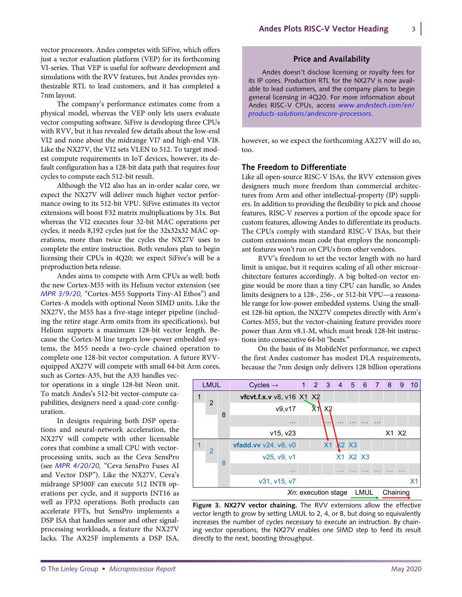vector processors. Andes competes with SiFive, which offers just a vector evaluation platform (VEP) for its forthcoming VI-series. That VEP is useful for software development and simulations with the RVV features, but Andes provides synthesizable RTL to lead customers, and it has completed a 7nm layout.

The company's performance estimates come from a physical model, whereas the VEP only lets users evaluate vector computing software. SiFive is developing three CPUs with RVV, but it has revealed few details about the low-end VI2 and none about the midrange VI7 and high-end VI8. Like the NX27V, the VI2 sets VLEN to 512. To target modest compute requirements in IoT devices, however, its default configuration has a 128-bit data path that requires four cycles to compute each 512-bit result.

Although the VI2 also has an in-order scalar core, we expect the NX27V will deliver much higher vector performance owing to its 512-bit VPU. SiFive estimates its vector extensions will boost F32 matrix multiplications by 31x. But whereas the VI2 executes four 32-bit MAC operations per cycles, it needs 8,192 cycles just for the 32x32x32 MAC operations, more than twice the cycles the NX27V uses to complete the entire instruction. Both vendors plan to begin licensing their CPUs in 4Q20; we expect SiFive's will be a preproduction beta release.

Andes aims to compete with Arm CPUs as well: both the new Cortex-M55 with its Helium vector extension (see *[MPR 3/9/20,](https://www.linleygroup.com/mpr/article.php?id=12271)* "Cortex-M55 Supports Tiny-AI Ethos") and Cortex-A models with optional Neon SIMD units. Like the NX27V, the M55 has a five-stage integer pipeline (including the retire stage Arm omits from its specifications), but Helium supports a maximum 128-bit vector length. Because the Cortex-M line targets low-power embedded systems, the M55 needs a two-cycle chained operation to complete one 128-bit vector computation. A future RVVequipped AX27V will compete with small 64-bit Arm cores,

such as Cortex-A35, but the A35 handles vector operations in a single 128-bit Neon unit. To match Andes's 512-bit vector-compute capabilities, designers need a quad-core configuration.

In designs requiring both DSP operations and neural-network acceleration, the NX27V will compete with other licensable cores that combine a small CPU with vectorprocessing units, such as the Ceva SensPro (see *[MPR 4/20/20,](https://www.linleygroup.com/mpr/article.php?id=12290)* "Ceva SensPro Fuses AI and Vector DSP"). Like the NX27V, Ceva's midrange SP500F can execute 512 INT8 operations per cycle, and it supports INT16 as well as FP32 operations. Both products can accelerate FFTs, but SensPro implements a DSP ISA that handles sensor and other signalprocessing workloads, a feature the NX27V lacks. The AX25F implements a DSP ISA,

# **Price and Availability**

Andes doesn't disclose licensing or royalty fees for its IP cores. Production RTL for the NX27V is now available to lead customers, and the company plans to begin general licensing in 4Q20. For more information about Andes RISC-V CPUs, access *[www.andestech.com/en/](http://www.andestech.com/en/products-solutions/andescore-processors) [products-solutions/andescore-processors](http://www.andestech.com/en/products-solutions/andescore-processors)*.

however, so we expect the forthcoming AX27V will do so, too.

# **The Freedom to Differentiate**

Like all open-source RISC-V ISAs, the RVV extension gives designers much more freedom than commercial architectures from Arm and other intellectual-property (IP) suppliers. In addition to providing the flexibility to pick and choose features, RISC-V reserves a portion of the opcode space for custom features, allowing Andes to differentiate its products. The CPUs comply with standard RISC-V ISAs, but their custom extensions mean code that employs the noncompliant features won't run on CPUs from other vendors.

RVV's freedom to set the vector length with no hard limit is unique, but it requires scaling of all other microarchitecture features accordingly. A big bolted-on vector engine would be more than a tiny CPU can handle, so Andes limits designers to a 128-, 256-, or 512-bit VPU—a reasonable range for low-power embedded systems. Using the smallest 128-bit option, the NX27V competes directly with Arm's Cortex-M55, but the vector-chaining feature provides more power than Arm v8.1-M, which must break 128-bit instructions into consecutive 64-bit "beats."

On the basis of its MobileNet performance, we expect the first Andes customer has modest DLA requirements, because the 7nm design only delivers 128 billion operations



**Figure 3. NX27V vector chaining.** The RVV extensions allow the effective vector length to grow by setting LMUL to 2, 4, or 8, but doing so equivalently increases the number of cycles necessary to execute an instruction. By chaining vector operations, the NX27V enables one SIMD step to feed its result directly to the next, boosting throughput.